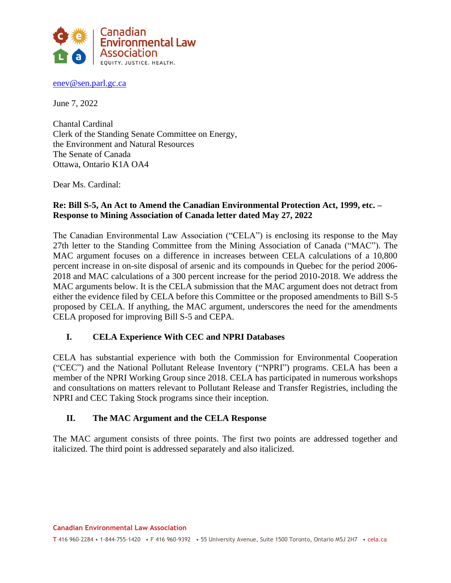

[enev@sen.parl.gc.ca](mailto:enev@sen.parl.gc.ca)

June 7, 2022

Chantal Cardinal Clerk of the Standing Senate Committee on Energy, the Environment and Natural Resources The Senate of Canada Ottawa, Ontario K1A OA4

Dear Ms. Cardinal:

### **Re: Bill S-5, An Act to Amend the Canadian Environmental Protection Act, 1999, etc. – Response to Mining Association of Canada letter dated May 27, 2022**

The Canadian Environmental Law Association ("CELA") is enclosing its response to the May 27th letter to the Standing Committee from the Mining Association of Canada ("MAC"). The MAC argument focuses on a difference in increases between CELA calculations of a 10,800 percent increase in on-site disposal of arsenic and its compounds in Quebec for the period 2006- 2018 and MAC calculations of a 300 percent increase for the period 2010-2018. We address the MAC arguments below. It is the CELA submission that the MAC argument does not detract from either the evidence filed by CELA before this Committee or the proposed amendments to Bill S-5 proposed by CELA. If anything, the MAC argument, underscores the need for the amendments CELA proposed for improving Bill S-5 and CEPA.

### **I. CELA Experience With CEC and NPRI Databases**

CELA has substantial experience with both the Commission for Environmental Cooperation ("CEC") and the National Pollutant Release Inventory ("NPRI") programs. CELA has been a member of the NPRI Working Group since 2018. CELA has participated in numerous workshops and consultations on matters relevant to Pollutant Release and Transfer Registries, including the NPRI and CEC Taking Stock programs since their inception.

### **II. The MAC Argument and the CELA Response**

The MAC argument consists of three points. The first two points are addressed together and italicized. The third point is addressed separately and also italicized.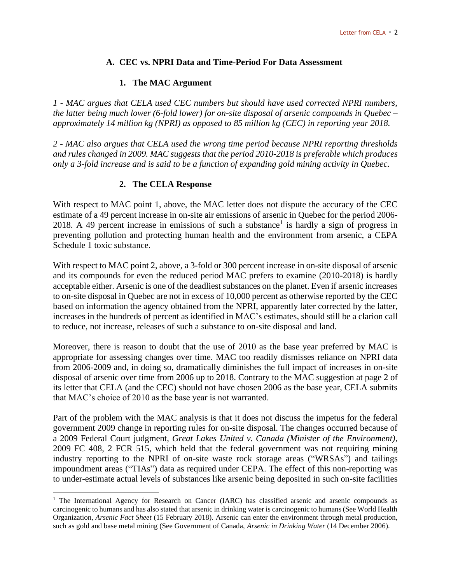## **A. CEC vs. NPRI Data and Time-Period For Data Assessment**

## **1. The MAC Argument**

*1 - MAC argues that CELA used CEC numbers but should have used corrected NPRI numbers, the latter being much lower (6-fold lower) for on-site disposal of arsenic compounds in Quebec – approximately 14 million kg (NPRI) as opposed to 85 million kg (CEC) in reporting year 2018.*

*2 - MAC also argues that CELA used the wrong time period because NPRI reporting thresholds and rules changed in 2009. MAC suggests that the period 2010-2018 is preferable which produces only a 3-fold increase and is said to be a function of expanding gold mining activity in Quebec.*

## **2. The CELA Response**

With respect to MAC point 1, above, the MAC letter does not dispute the accuracy of the CEC estimate of a 49 percent increase in on-site air emissions of arsenic in Quebec for the period 2006- 2018. A 49 percent increase in emissions of such a substance<sup>1</sup> is hardly a sign of progress in preventing pollution and protecting human health and the environment from arsenic, a CEPA Schedule 1 toxic substance.

With respect to MAC point 2, above, a 3-fold or 300 percent increase in on-site disposal of arsenic and its compounds for even the reduced period MAC prefers to examine (2010-2018) is hardly acceptable either. Arsenic is one of the deadliest substances on the planet. Even if arsenic increases to on-site disposal in Quebec are not in excess of 10,000 percent as otherwise reported by the CEC based on information the agency obtained from the NPRI, apparently later corrected by the latter, increases in the hundreds of percent as identified in MAC's estimates, should still be a clarion call to reduce, not increase, releases of such a substance to on-site disposal and land.

Moreover, there is reason to doubt that the use of 2010 as the base year preferred by MAC is appropriate for assessing changes over time. MAC too readily dismisses reliance on NPRI data from 2006-2009 and, in doing so, dramatically diminishes the full impact of increases in on-site disposal of arsenic over time from 2006 up to 2018. Contrary to the MAC suggestion at page 2 of its letter that CELA (and the CEC) should not have chosen 2006 as the base year, CELA submits that MAC's choice of 2010 as the base year is not warranted.

Part of the problem with the MAC analysis is that it does not discuss the impetus for the federal government 2009 change in reporting rules for on-site disposal. The changes occurred because of a 2009 Federal Court judgment, *Great Lakes United v. Canada (Minister of the Environment)*, 2009 FC 408, 2 FCR 515, which held that the federal government was not requiring mining industry reporting to the NPRI of on-site waste rock storage areas ("WRSAs") and tailings impoundment areas ("TIAs") data as required under CEPA. The effect of this non-reporting was to under-estimate actual levels of substances like arsenic being deposited in such on-site facilities

<sup>&</sup>lt;sup>1</sup> The International Agency for Research on Cancer (IARC) has classified arsenic and arsenic compounds as carcinogenic to humans and has also stated that arsenic in drinking water is carcinogenic to humans (See World Health Organization, *Arsenic Fact Sheet* (15 February 2018). Arsenic can enter the environment through metal production, such as gold and base metal mining (See Government of Canada, *Arsenic in Drinking Water* (14 December 2006).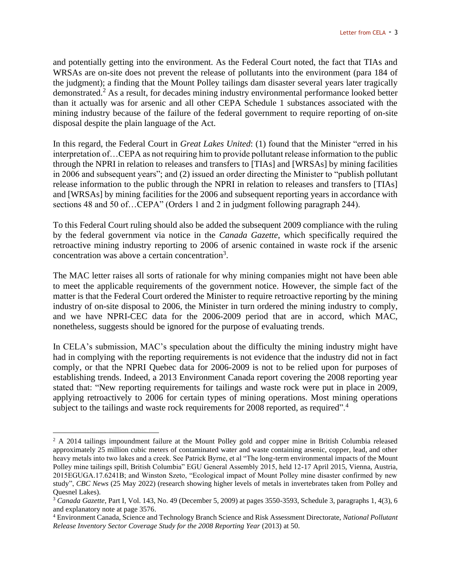and potentially getting into the environment. As the Federal Court noted, the fact that TIAs and WRSAs are on-site does not prevent the release of pollutants into the environment (para 184 of the judgment); a finding that the Mount Polley tailings dam disaster several years later tragically demonstrated.<sup>2</sup> As a result, for decades mining industry environmental performance looked better than it actually was for arsenic and all other CEPA Schedule 1 substances associated with the mining industry because of the failure of the federal government to require reporting of on-site disposal despite the plain language of the Act.

In this regard, the Federal Court in *Great Lakes United*: (1) found that the Minister "erred in his interpretation of…CEPA as not requiring him to provide pollutant release information to the public through the NPRI in relation to releases and transfers to [TIAs] and [WRSAs] by mining facilities in 2006 and subsequent years"; and (2) issued an order directing the Minister to "publish pollutant release information to the public through the NPRI in relation to releases and transfers to [TIAs] and [WRSAs] by mining facilities for the 2006 and subsequent reporting years in accordance with sections 48 and 50 of...CEPA" (Orders 1 and 2 in judgment following paragraph 244).

To this Federal Court ruling should also be added the subsequent 2009 compliance with the ruling by the federal government via notice in the *Canada Gazette*, which specifically required the retroactive mining industry reporting to 2006 of arsenic contained in waste rock if the arsenic concentration was above a certain concentration<sup>3</sup>.

The MAC letter raises all sorts of rationale for why mining companies might not have been able to meet the applicable requirements of the government notice. However, the simple fact of the matter is that the Federal Court ordered the Minister to require retroactive reporting by the mining industry of on-site disposal to 2006, the Minister in turn ordered the mining industry to comply, and we have NPRI-CEC data for the 2006-2009 period that are in accord, which MAC, nonetheless, suggests should be ignored for the purpose of evaluating trends.

In CELA's submission, MAC's speculation about the difficulty the mining industry might have had in complying with the reporting requirements is not evidence that the industry did not in fact comply, or that the NPRI Quebec data for 2006-2009 is not to be relied upon for purposes of establishing trends. Indeed, a 2013 Environment Canada report covering the 2008 reporting year stated that: "New reporting requirements for tailings and waste rock were put in place in 2009, applying retroactively to 2006 for certain types of mining operations. Most mining operations subject to the tailings and waste rock requirements for 2008 reported, as required".<sup>4</sup>

<sup>&</sup>lt;sup>2</sup> A 2014 tailings impoundment failure at the Mount Polley gold and copper mine in British Columbia released approximately 25 million cubic meters of contaminated water and waste containing arsenic, copper, lead, and other heavy metals into two lakes and a creek. See Patrick Byrne, et al "The long-term environmental impacts of the Mount Polley mine tailings spill, British Columbia" EGU General Assembly 2015, held 12-17 April 2015, Vienna, Austria, 2015EGUGA.17.6241B; and Winston Szeto, "Ecological impact of Mount Polley mine disaster confirmed by new study", *CBC News* (25 May 2022) (research showing higher levels of metals in invertebrates taken from Polley and Quesnel Lakes).

<sup>3</sup> *Canada Gazette*, Part I, Vol. 143, No. 49 (December 5, 2009) at pages 3550-3593, Schedule 3, paragraphs 1, 4(3), 6 and explanatory note at page 3576.

<sup>4</sup> Environment Canada, Science and Technology Branch Science and Risk Assessment Directorate, *National Pollutant Release Inventory Sector Coverage Study for the 2008 Reporting Year* (2013) at 50.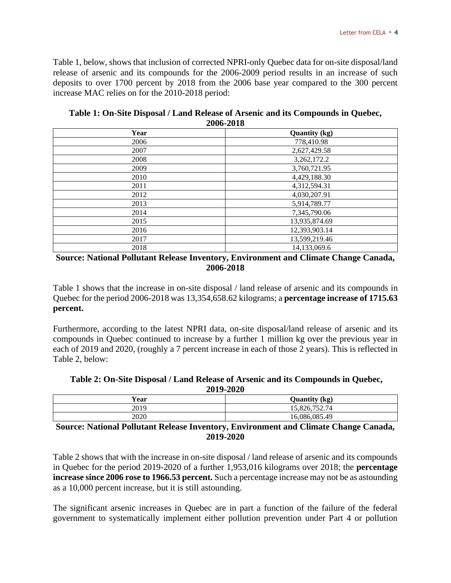Table 1, below, shows that inclusion of corrected NPRI-only Quebec data for on-site disposal/land release of arsenic and its compounds for the 2006-2009 period results in an increase of such deposits to over 1700 percent by 2018 from the 2006 base year compared to the 300 percent increase MAC relies on for the 2010-2018 period:

| $2000 - 2010$ |                      |
|---------------|----------------------|
| Year          | <b>Quantity (kg)</b> |
| 2006          | 778,410.98           |
| 2007          | 2,627,429.58         |
| 2008          | 3,262,172.2          |
| 2009          | 3,760,721.95         |
| 2010          | 4,429,188.30         |
| 2011          | 4,312,594.31         |
| 2012          | 4,030,207.91         |
| 2013          | 5,914,789.77         |
| 2014          | 7,345,790.06         |
| 2015          | 13,935,874.69        |
| 2016          | 12,393,903.14        |
| 2017          | 13,599,219.46        |
| 2018          | 14,133,069.6         |

**Table 1: On-Site Disposal / Land Release of Arsenic and its Compounds in Quebec, 2006-2018**

Table 1 shows that the increase in on-site disposal / land release of arsenic and its compounds in Quebec for the period 2006-2018 was 13,354,658.62 kilograms; a **percentage increase of 1715.63 percent.**

Furthermore, according to the latest NPRI data, on-site disposal/land release of arsenic and its compounds in Quebec continued to increase by a further 1 million kg over the previous year in each of 2019 and 2020, (roughly a 7 percent increase in each of those 2 years). This is reflected in Table 2, below:

|           | Table 2: On-Site Disposal / Land Release of Arsenic and its Compounds in Quebec, |  |
|-----------|----------------------------------------------------------------------------------|--|
| 2019-2020 |                                                                                  |  |
| Year      | <b>Quantity</b> (kg)                                                             |  |

| Source: National Pollutant Release Inventory Environment and Climate Change Canada |               |
|------------------------------------------------------------------------------------|---------------|
| 2020                                                                               | 16,086,085.49 |
| 2019                                                                               | 15.826.752.74 |
|                                                                                    |               |

**Source: National Pollutant Release Inventory, Environment and Climate Change Canada, 2019-2020**

Table 2 shows that with the increase in on-site disposal / land release of arsenic and its compounds in Quebec for the period 2019-2020 of a further 1,953,016 kilograms over 2018; the **percentage increase since 2006 rose to 1966.53 percent.** Such a percentage increase may not be as astounding as a 10,000 percent increase, but it is still astounding.

The significant arsenic increases in Quebec are in part a function of the failure of the federal government to systematically implement either pollution prevention under Part 4 or pollution

**Source: National Pollutant Release Inventory, Environment and Climate Change Canada, 2006-2018**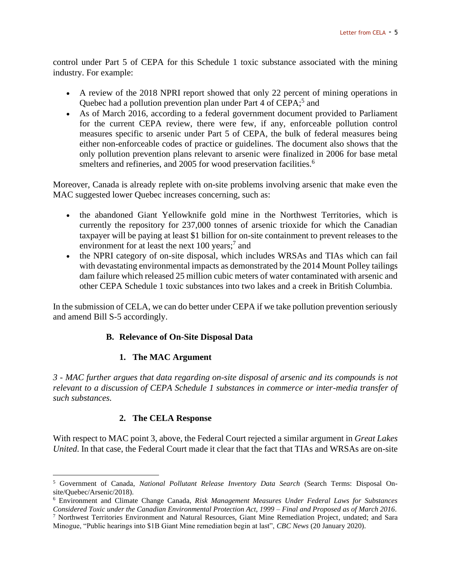control under Part 5 of CEPA for this Schedule 1 toxic substance associated with the mining industry. For example:

- A review of the 2018 NPRI report showed that only 22 percent of mining operations in Quebec had a pollution prevention plan under Part 4 of CEPA;<sup>5</sup> and
- As of March 2016, according to a federal government document provided to Parliament for the current CEPA review, there were few, if any, enforceable pollution control measures specific to arsenic under Part 5 of CEPA, the bulk of federal measures being either non-enforceable codes of practice or guidelines. The document also shows that the only pollution prevention plans relevant to arsenic were finalized in 2006 for base metal smelters and refineries, and 2005 for wood preservation facilities.<sup>6</sup>

Moreover, Canada is already replete with on-site problems involving arsenic that make even the MAC suggested lower Quebec increases concerning, such as:

- the abandoned Giant Yellowknife gold mine in the Northwest Territories, which is currently the repository for 237,000 tonnes of arsenic trioxide for which the Canadian taxpayer will be paying at least \$1 billion for on-site containment to prevent releases to the environment for at least the next 100 years;<sup>7</sup> and
- the NPRI category of on-site disposal, which includes WRSAs and TIAs which can fail with devastating environmental impacts as demonstrated by the 2014 Mount Polley tailings dam failure which released 25 million cubic meters of water contaminated with arsenic and other CEPA Schedule 1 toxic substances into two lakes and a creek in British Columbia.

In the submission of CELA, we can do better under CEPA if we take pollution prevention seriously and amend Bill S-5 accordingly.

# **B. Relevance of On-Site Disposal Data**

### **1. The MAC Argument**

*3 - MAC further argues that data regarding on-site disposal of arsenic and its compounds is not relevant to a discussion of CEPA Schedule 1 substances in commerce or inter-media transfer of such substances.*

### **2. The CELA Response**

With respect to MAC point 3, above, the Federal Court rejected a similar argument in *Great Lakes United*. In that case, the Federal Court made it clear that the fact that TIAs and WRSAs are on-site

<sup>5</sup> Government of Canada, *National Pollutant Release Inventory Data Search* (Search Terms: Disposal Onsite/Quebec/Arsenic/2018).

<sup>6</sup> Environment and Climate Change Canada, *Risk Management Measures Under Federal Laws for Substances Considered Toxic under the Canadian Environmental Protection Act, 1999 – Final and Proposed as of March 2016*.

<sup>7</sup> Northwest Territories Environment and Natural Resources, Giant Mine Remediation Project, undated; and Sara Minogue, "Public hearings into \$1B Giant Mine remediation begin at last", *CBC News* (20 January 2020).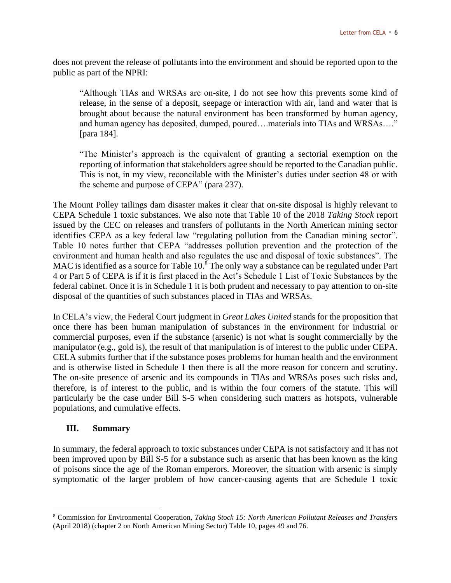does not prevent the release of pollutants into the environment and should be reported upon to the public as part of the NPRI:

"Although TIAs and WRSAs are on-site, I do not see how this prevents some kind of release, in the sense of a deposit, seepage or interaction with air, land and water that is brought about because the natural environment has been transformed by human agency, and human agency has deposited, dumped, poured….materials into TIAs and WRSAs…." [para 184].

"The Minister's approach is the equivalent of granting a sectorial exemption on the reporting of information that stakeholders agree should be reported to the Canadian public. This is not, in my view, reconcilable with the Minister's duties under section 48 or with the scheme and purpose of CEPA" (para 237).

The Mount Polley tailings dam disaster makes it clear that on-site disposal is highly relevant to CEPA Schedule 1 toxic substances. We also note that Table 10 of the 2018 *Taking Stock* report issued by the CEC on releases and transfers of pollutants in the North American mining sector identifies CEPA as a key federal law "regulating pollution from the Canadian mining sector". Table 10 notes further that CEPA "addresses pollution prevention and the protection of the environment and human health and also regulates the use and disposal of toxic substances". The MAC is identified as a source for Table  $10<sup>8</sup>$  The only way a substance can be regulated under Part 4 or Part 5 of CEPA is if it is first placed in the Act's Schedule 1 List of Toxic Substances by the federal cabinet. Once it is in Schedule 1 it is both prudent and necessary to pay attention to on-site disposal of the quantities of such substances placed in TIAs and WRSAs.

In CELA's view, the Federal Court judgment in *Great Lakes United* stands for the proposition that once there has been human manipulation of substances in the environment for industrial or commercial purposes, even if the substance (arsenic) is not what is sought commercially by the manipulator (e.g., gold is), the result of that manipulation is of interest to the public under CEPA. CELA submits further that if the substance poses problems for human health and the environment and is otherwise listed in Schedule 1 then there is all the more reason for concern and scrutiny. The on-site presence of arsenic and its compounds in TIAs and WRSAs poses such risks and, therefore, is of interest to the public, and is within the four corners of the statute. This will particularly be the case under Bill S-5 when considering such matters as hotspots, vulnerable populations, and cumulative effects.

### **III. Summary**

In summary, the federal approach to toxic substances under CEPA is not satisfactory and it has not been improved upon by Bill S-5 for a substance such as arsenic that has been known as the king of poisons since the age of the Roman emperors. Moreover, the situation with arsenic is simply symptomatic of the larger problem of how cancer-causing agents that are Schedule 1 toxic

<sup>8</sup> Commission for Environmental Cooperation, *Taking Stock 15: North American Pollutant Releases and Transfers*  (April 2018) (chapter 2 on North American Mining Sector) Table 10, pages 49 and 76.